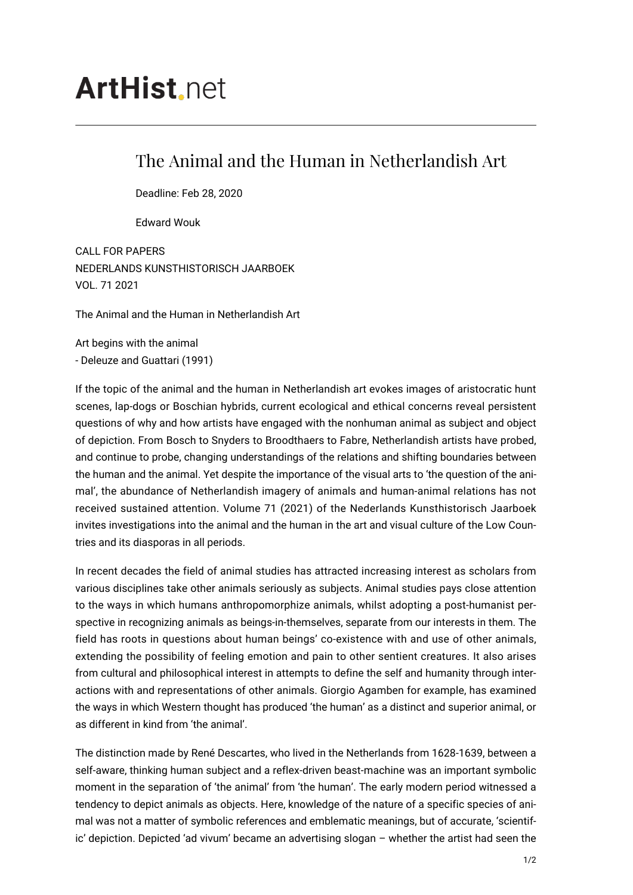## **ArtHist** net

## The Animal and the Human in Netherlandish Art

Deadline: Feb 28, 2020

Edward Wouk

CALL FOR PAPERS NEDERLANDS KUNSTHISTORISCH JAARBOEK VOL. 71 2021

The Animal and the Human in Netherlandish Art

Art begins with the animal - Deleuze and Guattari (1991)

If the topic of the animal and the human in Netherlandish art evokes images of aristocratic hunt scenes, lap-dogs or Boschian hybrids, current ecological and ethical concerns reveal persistent questions of why and how artists have engaged with the nonhuman animal as subject and object of depiction. From Bosch to Snyders to Broodthaers to Fabre, Netherlandish artists have probed, and continue to probe, changing understandings of the relations and shifting boundaries between the human and the animal. Yet despite the importance of the visual arts to 'the question of the animal', the abundance of Netherlandish imagery of animals and human-animal relations has not received sustained attention. Volume 71 (2021) of the Nederlands Kunsthistorisch Jaarboek invites investigations into the animal and the human in the art and visual culture of the Low Countries and its diasporas in all periods.

In recent decades the field of animal studies has attracted increasing interest as scholars from various disciplines take other animals seriously as subjects. Animal studies pays close attention to the ways in which humans anthropomorphize animals, whilst adopting a post-humanist perspective in recognizing animals as beings-in-themselves, separate from our interests in them. The field has roots in questions about human beings' co-existence with and use of other animals, extending the possibility of feeling emotion and pain to other sentient creatures. It also arises from cultural and philosophical interest in attempts to define the self and humanity through interactions with and representations of other animals. Giorgio Agamben for example, has examined the ways in which Western thought has produced 'the human' as a distinct and superior animal, or as different in kind from 'the animal'.

The distinction made by René Descartes, who lived in the Netherlands from 1628-1639, between a self-aware, thinking human subject and a reflex-driven beast-machine was an important symbolic moment in the separation of 'the animal' from 'the human'. The early modern period witnessed a tendency to depict animals as objects. Here, knowledge of the nature of a specific species of animal was not a matter of symbolic references and emblematic meanings, but of accurate, 'scientific' depiction. Depicted 'ad vivum' became an advertising slogan – whether the artist had seen the